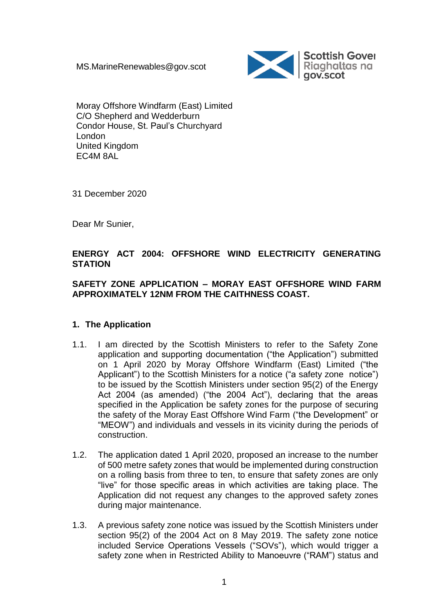MS.MarineRenewables@gov.scot



Moray Offshore Windfarm (East) Limited C/O Shepherd and Wedderburn Condor House, St. Paul's Churchyard London United Kingdom EC4M 8AL

31 December 2020

Dear Mr Sunier,

# **ENERGY ACT 2004: OFFSHORE WIND ELECTRICITY GENERATING STATION**

### **SAFETY ZONE APPLICATION – MORAY EAST OFFSHORE WIND FARM APPROXIMATELY 12NM FROM THE CAITHNESS COAST.**

### **1. The Application**

- 1.1. I am directed by the Scottish Ministers to refer to the Safety Zone application and supporting documentation ("the Application") submitted on 1 April 2020 by Moray Offshore Windfarm (East) Limited ("the Applicant") to the Scottish Ministers for a notice ("a safety zone notice") to be issued by the Scottish Ministers under section 95(2) of the Energy Act 2004 (as amended) ("the 2004 Act"), declaring that the areas specified in the Application be safety zones for the purpose of securing the safety of the Moray East Offshore Wind Farm ("the Development" or "MEOW") and individuals and vessels in its vicinity during the periods of construction.
- 1.2. The application dated 1 April 2020, proposed an increase to the number of 500 metre safety zones that would be implemented during construction on a rolling basis from three to ten, to ensure that safety zones are only "live" for those specific areas in which activities are taking place. The Application did not request any changes to the approved safety zones during major maintenance.
- 1.3. A previous safety zone notice was issued by the Scottish Ministers under section 95(2) of the 2004 Act on 8 May 2019. The safety zone notice included Service Operations Vessels ("SOVs"), which would trigger a safety zone when in Restricted Ability to Manoeuvre ("RAM") status and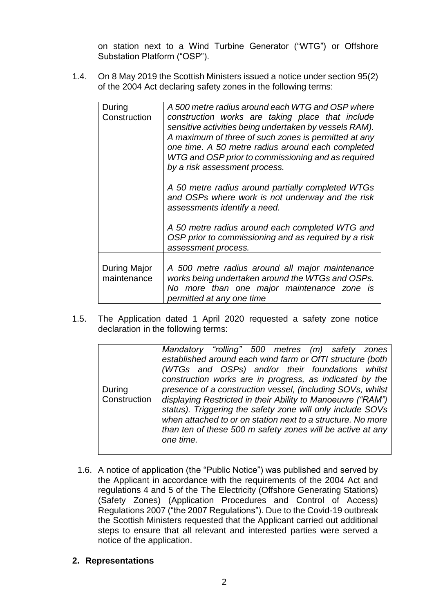on station next to a Wind Turbine Generator ("WTG") or Offshore Substation Platform ("OSP").

1.4. On 8 May 2019 the Scottish Ministers issued a notice under section 95(2) of the 2004 Act declaring safety zones in the following terms:

| During<br>Construction      | A 500 metre radius around each WTG and OSP where<br>construction works are taking place that include<br>sensitive activities being undertaken by vessels RAM).<br>A maximum of three of such zones is permitted at any<br>one time. A 50 metre radius around each completed<br>WTG and OSP prior to commissioning and as required<br>by a risk assessment process. |
|-----------------------------|--------------------------------------------------------------------------------------------------------------------------------------------------------------------------------------------------------------------------------------------------------------------------------------------------------------------------------------------------------------------|
|                             | A 50 metre radius around partially completed WTGs<br>and OSPs where work is not underway and the risk<br>assessments identify a need.                                                                                                                                                                                                                              |
|                             | A 50 metre radius around each completed WTG and<br>OSP prior to commissioning and as required by a risk<br>assessment process.                                                                                                                                                                                                                                     |
| During Major<br>maintenance | A 500 metre radius around all major maintenance<br>works being undertaken around the WTGs and OSPs.<br>No more than one major maintenance zone is<br>permitted at any one time                                                                                                                                                                                     |

1.5. The Application dated 1 April 2020 requested a safety zone notice declaration in the following terms:

|              | Mandatory "rolling" 500 metres (m) safety zones             |
|--------------|-------------------------------------------------------------|
|              | established around each wind farm or OfTI structure (both   |
|              | (WTGs and OSPs) and/or their foundations whilst             |
|              | construction works are in progress, as indicated by the     |
| During       | presence of a construction vessel, (including SOVs, whilst  |
| Construction | displaying Restricted in their Ability to Manoeuvre ("RAM") |
|              | status). Triggering the safety zone will only include SOVs  |
|              | when attached to or on station next to a structure. No more |
|              | than ten of these 500 m safety zones will be active at any  |
|              | one time.                                                   |
|              |                                                             |

1.6. A notice of application (the "Public Notice") was published and served by the Applicant in accordance with the requirements of the 2004 Act and regulations 4 and 5 of the The Electricity (Offshore Generating Stations) (Safety Zones) (Application Procedures and Control of Access) Regulations 2007 ("the 2007 Regulations"). Due to the Covid-19 outbreak the Scottish Ministers requested that the Applicant carried out additional steps to ensure that all relevant and interested parties were served a notice of the application.

### **2. Representations**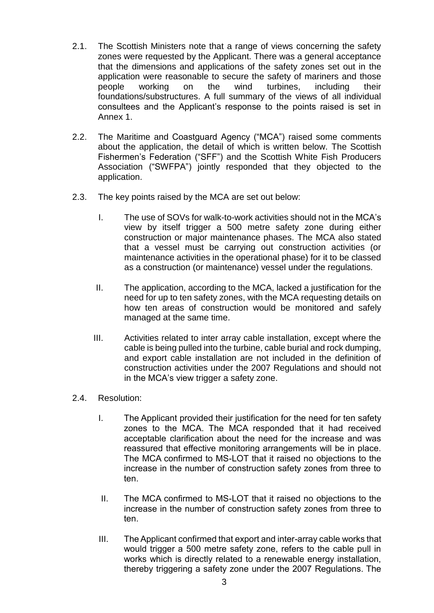- 2.1. The Scottish Ministers note that a range of views concerning the safety zones were requested by the Applicant. There was a general acceptance that the dimensions and applications of the safety zones set out in the application were reasonable to secure the safety of mariners and those people working on the wind turbines, including their foundations/substructures. A full summary of the views of all individual consultees and the Applicant's response to the points raised is set in Annex 1.
- 2.2. The Maritime and Coastguard Agency ("MCA") raised some comments about the application, the detail of which is written below. The Scottish Fishermen's Federation ("SFF") and the Scottish White Fish Producers Association ("SWFPA") jointly responded that they objected to the application.
- 2.3. The key points raised by the MCA are set out below:
	- I. The use of SOVs for walk-to-work activities should not in the MCA's view by itself trigger a 500 metre safety zone during either construction or major maintenance phases. The MCA also stated that a vessel must be carrying out construction activities (or maintenance activities in the operational phase) for it to be classed as a construction (or maintenance) vessel under the regulations.
	- II. The application, according to the MCA, lacked a justification for the need for up to ten safety zones, with the MCA requesting details on how ten areas of construction would be monitored and safely managed at the same time.
	- III. Activities related to inter array cable installation, except where the cable is being pulled into the turbine, cable burial and rock dumping, and export cable installation are not included in the definition of construction activities under the 2007 Regulations and should not in the MCA's view trigger a safety zone.
- 2.4. Resolution:
	- I. The Applicant provided their justification for the need for ten safety zones to the MCA. The MCA responded that it had received acceptable clarification about the need for the increase and was reassured that effective monitoring arrangements will be in place. The MCA confirmed to MS-LOT that it raised no objections to the increase in the number of construction safety zones from three to ten.
	- II. The MCA confirmed to MS-LOT that it raised no objections to the increase in the number of construction safety zones from three to ten.
	- III. The Applicant confirmed that export and inter-array cable works that would trigger a 500 metre safety zone, refers to the cable pull in works which is directly related to a renewable energy installation, thereby triggering a safety zone under the 2007 Regulations. The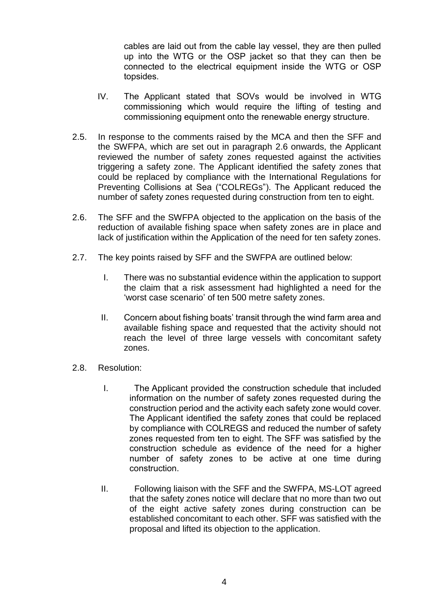cables are laid out from the cable lay vessel, they are then pulled up into the WTG or the OSP jacket so that they can then be connected to the electrical equipment inside the WTG or OSP topsides.

- IV. The Applicant stated that SOVs would be involved in WTG commissioning which would require the lifting of testing and commissioning equipment onto the renewable energy structure.
- 2.5. In response to the comments raised by the MCA and then the SFF and the SWFPA, which are set out in paragraph 2.6 onwards, the Applicant reviewed the number of safety zones requested against the activities triggering a safety zone. The Applicant identified the safety zones that could be replaced by compliance with the International Regulations for Preventing Collisions at Sea ("COLREGs"). The Applicant reduced the number of safety zones requested during construction from ten to eight.
- 2.6. The SFF and the SWFPA objected to the application on the basis of the reduction of available fishing space when safety zones are in place and lack of justification within the Application of the need for ten safety zones.
- 2.7. The key points raised by SFF and the SWFPA are outlined below:
	- I. There was no substantial evidence within the application to support the claim that a risk assessment had highlighted a need for the 'worst case scenario' of ten 500 metre safety zones.
	- II. Concern about fishing boats' transit through the wind farm area and available fishing space and requested that the activity should not reach the level of three large vessels with concomitant safety zones.
- 2.8. Resolution:
	- I. The Applicant provided the construction schedule that included information on the number of safety zones requested during the construction period and the activity each safety zone would cover. The Applicant identified the safety zones that could be replaced by compliance with COLREGS and reduced the number of safety zones requested from ten to eight. The SFF was satisfied by the construction schedule as evidence of the need for a higher number of safety zones to be active at one time during construction.
	- II. Following liaison with the SFF and the SWFPA, MS-LOT agreed that the safety zones notice will declare that no more than two out of the eight active safety zones during construction can be established concomitant to each other. SFF was satisfied with the proposal and lifted its objection to the application.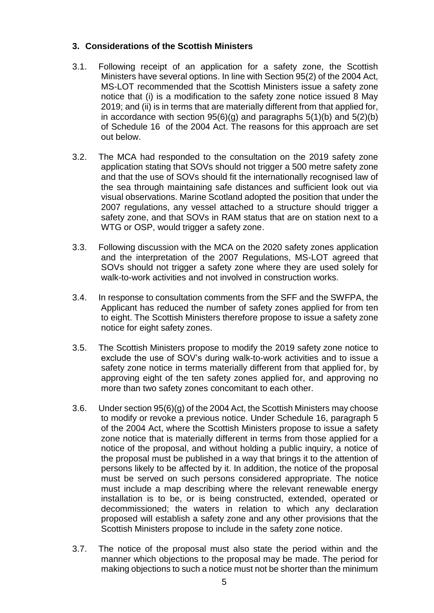# **3. Considerations of the Scottish Ministers**

- 3.1. Following receipt of an application for a safety zone, the Scottish Ministers have several options. In line with Section 95(2) of the 2004 Act, MS-LOT recommended that the Scottish Ministers issue a safety zone notice that (i) is a modification to the safety zone notice issued 8 May 2019; and (ii) is in terms that are materially different from that applied for, in accordance with section  $95(6)(q)$  and paragraphs  $5(1)(b)$  and  $5(2)(b)$ of Schedule 16 of the 2004 Act. The reasons for this approach are set out below.
- 3.2. The MCA had responded to the consultation on the 2019 safety zone application stating that SOVs should not trigger a 500 metre safety zone and that the use of SOVs should fit the internationally recognised law of the sea through maintaining safe distances and sufficient look out via visual observations. Marine Scotland adopted the position that under the 2007 regulations, any vessel attached to a structure should trigger a safety zone, and that SOVs in RAM status that are on station next to a WTG or OSP, would trigger a safety zone.
- 3.3. Following discussion with the MCA on the 2020 safety zones application and the interpretation of the 2007 Regulations, MS-LOT agreed that SOVs should not trigger a safety zone where they are used solely for walk-to-work activities and not involved in construction works.
- 3.4. In response to consultation comments from the SFF and the SWFPA, the Applicant has reduced the number of safety zones applied for from ten to eight. The Scottish Ministers therefore propose to issue a safety zone notice for eight safety zones.
- 3.5. The Scottish Ministers propose to modify the 2019 safety zone notice to exclude the use of SOV's during walk-to-work activities and to issue a safety zone notice in terms materially different from that applied for, by approving eight of the ten safety zones applied for, and approving no more than two safety zones concomitant to each other.
- 3.6. Under section 95(6)(g) of the 2004 Act, the Scottish Ministers may choose to modify or revoke a previous notice. Under Schedule 16, paragraph 5 of the 2004 Act, where the Scottish Ministers propose to issue a safety zone notice that is materially different in terms from those applied for a notice of the proposal, and without holding a public inquiry, a notice of the proposal must be published in a way that brings it to the attention of persons likely to be affected by it. In addition, the notice of the proposal must be served on such persons considered appropriate. The notice must include a map describing where the relevant renewable energy installation is to be, or is being constructed, extended, operated or decommissioned; the waters in relation to which any declaration proposed will establish a safety zone and any other provisions that the Scottish Ministers propose to include in the safety zone notice.
- 3.7. The notice of the proposal must also state the period within and the manner which objections to the proposal may be made. The period for making objections to such a notice must not be shorter than the minimum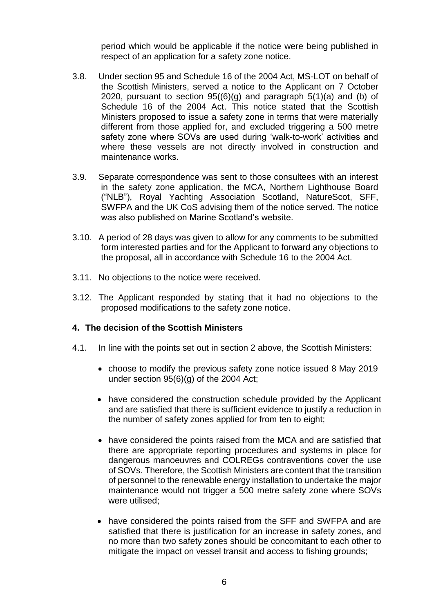period which would be applicable if the notice were being published in respect of an application for a safety zone notice.

- 3.8. Under section 95 and Schedule 16 of the 2004 Act, MS-LOT on behalf of the Scottish Ministers, served a notice to the Applicant on 7 October 2020, pursuant to section  $95(6)(g)$  and paragraph  $5(1)(a)$  and (b) of Schedule 16 of the 2004 Act. This notice stated that the Scottish Ministers proposed to issue a safety zone in terms that were materially different from those applied for, and excluded triggering a 500 metre safety zone where SOVs are used during 'walk-to-work' activities and where these vessels are not directly involved in construction and maintenance works.
- 3.9. Separate correspondence was sent to those consultees with an interest in the safety zone application, the MCA, Northern Lighthouse Board ("NLB"), Royal Yachting Association Scotland, NatureScot, SFF, SWFPA and the UK CoS advising them of the notice served. The notice was also published on Marine Scotland's website.
- 3.10. A period of 28 days was given to allow for any comments to be submitted form interested parties and for the Applicant to forward any objections to the proposal, all in accordance with Schedule 16 to the 2004 Act.
- 3.11. No objections to the notice were received.
- 3.12. The Applicant responded by stating that it had no objections to the proposed modifications to the safety zone notice.

### **4. The decision of the Scottish Ministers**

- 4.1. In line with the points set out in section 2 above, the Scottish Ministers:
	- choose to modify the previous safety zone notice issued 8 May 2019 under section 95(6)(g) of the 2004 Act;
	- have considered the construction schedule provided by the Applicant and are satisfied that there is sufficient evidence to justify a reduction in the number of safety zones applied for from ten to eight;
	- have considered the points raised from the MCA and are satisfied that there are appropriate reporting procedures and systems in place for dangerous manoeuvres and COLREGs contraventions cover the use of SOVs. Therefore, the Scottish Ministers are content that the transition of personnel to the renewable energy installation to undertake the major maintenance would not trigger a 500 metre safety zone where SOVs were utilised;
	- have considered the points raised from the SFF and SWFPA and are satisfied that there is justification for an increase in safety zones, and no more than two safety zones should be concomitant to each other to mitigate the impact on vessel transit and access to fishing grounds;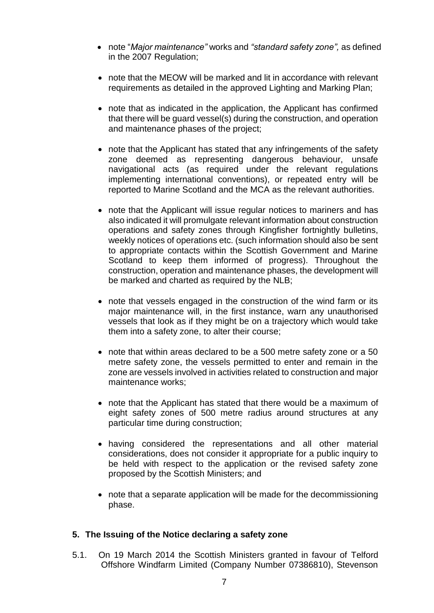- note "*Major maintenance"* works and *"standard safety zone",* as defined in the 2007 Regulation;
- note that the MEOW will be marked and lit in accordance with relevant requirements as detailed in the approved Lighting and Marking Plan;
- note that as indicated in the application, the Applicant has confirmed that there will be guard vessel(s) during the construction, and operation and maintenance phases of the project;
- note that the Applicant has stated that any infringements of the safety zone deemed as representing dangerous behaviour, unsafe navigational acts (as required under the relevant regulations implementing international conventions), or repeated entry will be reported to Marine Scotland and the MCA as the relevant authorities.
- note that the Applicant will issue regular notices to mariners and has also indicated it will promulgate relevant information about construction operations and safety zones through Kingfisher fortnightly bulletins, weekly notices of operations etc. (such information should also be sent to appropriate contacts within the Scottish Government and Marine Scotland to keep them informed of progress). Throughout the construction, operation and maintenance phases, the development will be marked and charted as required by the NLB;
- note that vessels engaged in the construction of the wind farm or its major maintenance will, in the first instance, warn any unauthorised vessels that look as if they might be on a trajectory which would take them into a safety zone, to alter their course;
- note that within areas declared to be a 500 metre safety zone or a 50 metre safety zone, the vessels permitted to enter and remain in the zone are vessels involved in activities related to construction and major maintenance works;
- note that the Applicant has stated that there would be a maximum of eight safety zones of 500 metre radius around structures at any particular time during construction;
- having considered the representations and all other material considerations, does not consider it appropriate for a public inquiry to be held with respect to the application or the revised safety zone proposed by the Scottish Ministers; and
- note that a separate application will be made for the decommissioning phase.

### **5. The Issuing of the Notice declaring a safety zone**

5.1. On 19 March 2014 the Scottish Ministers granted in favour of Telford Offshore Windfarm Limited (Company Number 07386810), Stevenson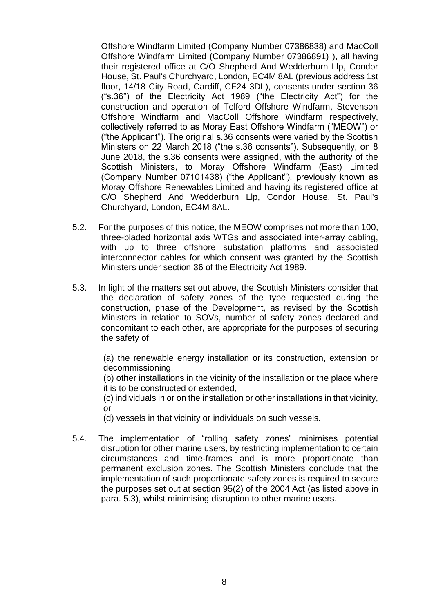Offshore Windfarm Limited (Company Number 07386838) and MacColl Offshore Windfarm Limited (Company Number 07386891) ), all having their registered office at C/O Shepherd And Wedderburn Llp, Condor House, St. Paul's Churchyard, London, EC4M 8AL (previous address 1st floor, 14/18 City Road, Cardiff, CF24 3DL), consents under section 36 ("s.36") of the Electricity Act 1989 ("the Electricity Act") for the construction and operation of Telford Offshore Windfarm, Stevenson Offshore Windfarm and MacColl Offshore Windfarm respectively, collectively referred to as Moray East Offshore Windfarm ("MEOW") or ("the Applicant"). The original s.36 consents were varied by the Scottish Ministers on 22 March 2018 ("the s.36 consents"). Subsequently, on 8 June 2018, the s.36 consents were assigned, with the authority of the Scottish Ministers, to Moray Offshore Windfarm (East) Limited (Company Number 07101438) ("the Applicant"), previously known as Moray Offshore Renewables Limited and having its registered office at C/O Shepherd And Wedderburn Llp, Condor House, St. Paul's Churchyard, London, EC4M 8AL.

- 5.2. For the purposes of this notice, the MEOW comprises not more than 100, three-bladed horizontal axis WTGs and associated inter-array cabling, with up to three offshore substation platforms and associated interconnector cables for which consent was granted by the Scottish Ministers under section 36 of the Electricity Act 1989.
- 5.3. In light of the matters set out above, the Scottish Ministers consider that the declaration of safety zones of the type requested during the construction, phase of the Development, as revised by the Scottish Ministers in relation to SOVs, number of safety zones declared and concomitant to each other, are appropriate for the purposes of securing the safety of:

(a) the renewable energy installation or its construction, extension or decommissioning,

(b) other installations in the vicinity of the installation or the place where it is to be constructed or extended,

(c) individuals in or on the installation or other installations in that vicinity, or

(d) vessels in that vicinity or individuals on such vessels.

5.4. The implementation of "rolling safety zones" minimises potential disruption for other marine users, by restricting implementation to certain circumstances and time-frames and is more proportionate than permanent exclusion zones. The Scottish Ministers conclude that the implementation of such proportionate safety zones is required to secure the purposes set out at section 95(2) of the 2004 Act (as listed above in para. 5.3), whilst minimising disruption to other marine users.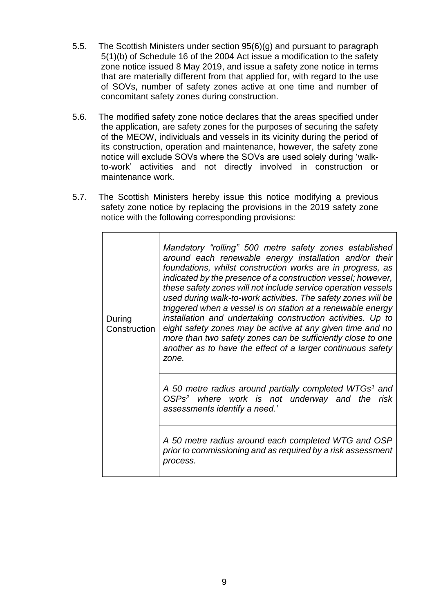- 5.5. The Scottish Ministers under section 95(6)(g) and pursuant to paragraph 5(1)(b) of Schedule 16 of the 2004 Act issue a modification to the safety zone notice issued 8 May 2019, and issue a safety zone notice in terms that are materially different from that applied for, with regard to the use of SOVs, number of safety zones active at one time and number of concomitant safety zones during construction.
- 5.6. The modified safety zone notice declares that the areas specified under the application, are safety zones for the purposes of securing the safety of the MEOW, individuals and vessels in its vicinity during the period of its construction, operation and maintenance, however, the safety zone notice will exclude SOVs where the SOVs are used solely during 'walkto-work' activities and not directly involved in construction or maintenance work.
- 5.7. The Scottish Ministers hereby issue this notice modifying a previous safety zone notice by replacing the provisions in the 2019 safety zone notice with the following corresponding provisions:

| During<br>Construction | Mandatory "rolling" 500 metre safety zones established<br>around each renewable energy installation and/or their<br>foundations, whilst construction works are in progress, as<br>indicated by the presence of a construction vessel; however,<br>these safety zones will not include service operation vessels<br>used during walk-to-work activities. The safety zones will be<br>triggered when a vessel is on station at a renewable energy<br>installation and undertaking construction activities. Up to<br>eight safety zones may be active at any given time and no<br>more than two safety zones can be sufficiently close to one<br>another as to have the effect of a larger continuous safety<br>zone. |
|------------------------|--------------------------------------------------------------------------------------------------------------------------------------------------------------------------------------------------------------------------------------------------------------------------------------------------------------------------------------------------------------------------------------------------------------------------------------------------------------------------------------------------------------------------------------------------------------------------------------------------------------------------------------------------------------------------------------------------------------------|
|                        | A 50 metre radius around partially completed WTGs <sup>1</sup> and<br>OSPs <sup>2</sup> where work is not underway and the<br>risk<br>assessments identify a need.'                                                                                                                                                                                                                                                                                                                                                                                                                                                                                                                                                |
|                        | A 50 metre radius around each completed WTG and OSP<br>prior to commissioning and as required by a risk assessment<br>process.                                                                                                                                                                                                                                                                                                                                                                                                                                                                                                                                                                                     |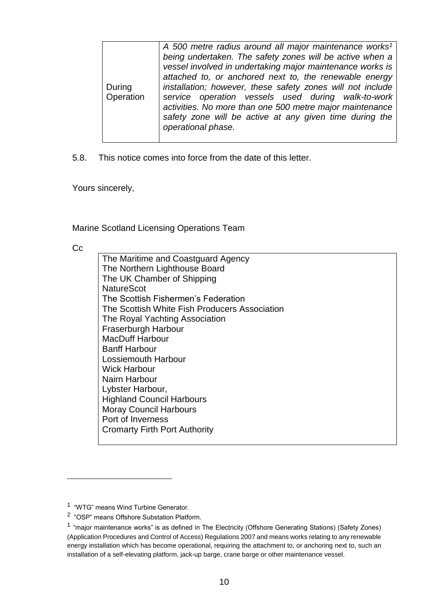|                     | A 500 metre radius around all major maintenance works <sup>1</sup><br>being undertaken. The safety zones will be active when a                                                                                                                                                                                          |
|---------------------|-------------------------------------------------------------------------------------------------------------------------------------------------------------------------------------------------------------------------------------------------------------------------------------------------------------------------|
|                     | vessel involved in undertaking major maintenance works is                                                                                                                                                                                                                                                               |
| During<br>Operation | attached to, or anchored next to, the renewable energy<br>installation; however, these safety zones will not include<br>service operation vessels used during walk-to-work<br>activities. No more than one 500 metre major maintenance<br>safety zone will be active at any given time during the<br>operational phase. |
|                     |                                                                                                                                                                                                                                                                                                                         |

5.8. This notice comes into force from the date of this letter.

Yours sincerely,

Marine Scotland Licensing Operations Team

Cc

l

The Maritime and Coastguard Agency The Northern Lighthouse Board The UK Chamber of Shipping **NatureScot** The Scottish Fishermen's Federation The Scottish White Fish Producers Association The Royal Yachting Association Fraserburgh Harbour MacDuff Harbour Banff Harbour Lossiemouth Harbour Wick Harbour Nairn Harbour Lybster Harbour, Highland Council Harbours Moray Council Harbours Port of Inverness Cromarty Firth Port Authority

<sup>&</sup>lt;sup>1</sup> "WTG" means Wind Turbine Generator.

<sup>&</sup>lt;sup>2</sup> "OSP" means Offshore Substation Platform.

<sup>&</sup>lt;sup>1</sup> "major maintenance works" is as defined in The Electricity (Offshore Generating Stations) (Safety Zones) (Application Procedures and Control of Access) Regulations 2007 and means works relating to any renewable energy installation which has become operational, requiring the attachment to, or anchoring next to, such an installation of a self-elevating platform, jack-up barge, crane barge or other maintenance vessel.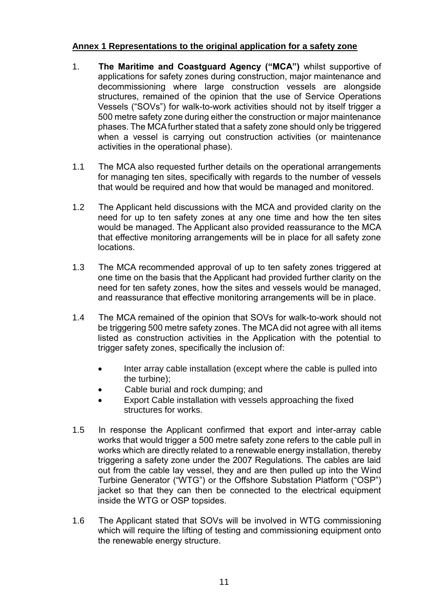# **Annex 1 Representations to the original application for a safety zone**

- 1. **The Maritime and Coastguard Agency ("MCA")** whilst supportive of applications for safety zones during construction, major maintenance and decommissioning where large construction vessels are alongside structures, remained of the opinion that the use of Service Operations Vessels ("SOVs") for walk-to-work activities should not by itself trigger a 500 metre safety zone during either the construction or major maintenance phases. The MCA further stated that a safety zone should only be triggered when a vessel is carrying out construction activities (or maintenance activities in the operational phase).
- 1.1 The MCA also requested further details on the operational arrangements for managing ten sites, specifically with regards to the number of vessels that would be required and how that would be managed and monitored.
- 1.2 The Applicant held discussions with the MCA and provided clarity on the need for up to ten safety zones at any one time and how the ten sites would be managed. The Applicant also provided reassurance to the MCA that effective monitoring arrangements will be in place for all safety zone locations.
- 1.3 The MCA recommended approval of up to ten safety zones triggered at one time on the basis that the Applicant had provided further clarity on the need for ten safety zones, how the sites and vessels would be managed, and reassurance that effective monitoring arrangements will be in place.
- 1.4 The MCA remained of the opinion that SOVs for walk-to-work should not be triggering 500 metre safety zones. The MCA did not agree with all items listed as construction activities in the Application with the potential to trigger safety zones, specifically the inclusion of:
	- Inter array cable installation (except where the cable is pulled into the turbine);
	- Cable burial and rock dumping; and
	- Export Cable installation with vessels approaching the fixed structures for works.
- 1.5 In response the Applicant confirmed that export and inter-array cable works that would trigger a 500 metre safety zone refers to the cable pull in works which are directly related to a renewable energy installation, thereby triggering a safety zone under the 2007 Regulations. The cables are laid out from the cable lay vessel, they and are then pulled up into the Wind Turbine Generator ("WTG") or the Offshore Substation Platform ("OSP") jacket so that they can then be connected to the electrical equipment inside the WTG or OSP topsides.
- 1.6 The Applicant stated that SOVs will be involved in WTG commissioning which will require the lifting of testing and commissioning equipment onto the renewable energy structure.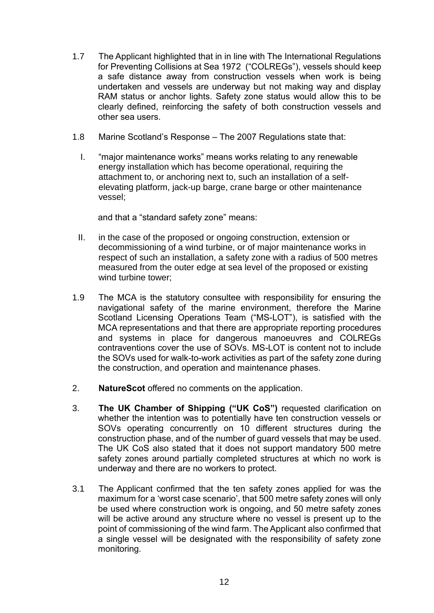- 1.7 The Applicant highlighted that in in line with The International Regulations for Preventing Collisions at Sea 1972 ("COLREGs"), vessels should keep a safe distance away from construction vessels when work is being undertaken and vessels are underway but not making way and display RAM status or anchor lights. Safety zone status would allow this to be clearly defined, reinforcing the safety of both construction vessels and other sea users.
- 1.8 Marine Scotland's Response The 2007 Regulations state that:
	- I. "major maintenance works" means works relating to any renewable energy installation which has become operational, requiring the attachment to, or anchoring next to, such an installation of a selfelevating platform, jack-up barge, crane barge or other maintenance vessel;

and that a "standard safety zone" means:

- II. in the case of the proposed or ongoing construction, extension or decommissioning of a wind turbine, or of major maintenance works in respect of such an installation, a safety zone with a radius of 500 metres measured from the outer edge at sea level of the proposed or existing wind turbine tower;
- 1.9 The MCA is the statutory consultee with responsibility for ensuring the navigational safety of the marine environment, therefore the Marine Scotland Licensing Operations Team ("MS-LOT"), is satisfied with the MCA representations and that there are appropriate reporting procedures and systems in place for dangerous manoeuvres and COLREGs contraventions cover the use of SOVs. MS-LOT is content not to include the SOVs used for walk-to-work activities as part of the safety zone during the construction, and operation and maintenance phases.
- 2. **NatureScot** offered no comments on the application.
- 3. **The UK Chamber of Shipping ("UK CoS")** requested clarification on whether the intention was to potentially have ten construction vessels or SOVs operating concurrently on 10 different structures during the construction phase, and of the number of guard vessels that may be used. The UK CoS also stated that it does not support mandatory 500 metre safety zones around partially completed structures at which no work is underway and there are no workers to protect.
- 3.1 The Applicant confirmed that the ten safety zones applied for was the maximum for a 'worst case scenario', that 500 metre safety zones will only be used where construction work is ongoing, and 50 metre safety zones will be active around any structure where no vessel is present up to the point of commissioning of the wind farm. The Applicant also confirmed that a single vessel will be designated with the responsibility of safety zone monitoring.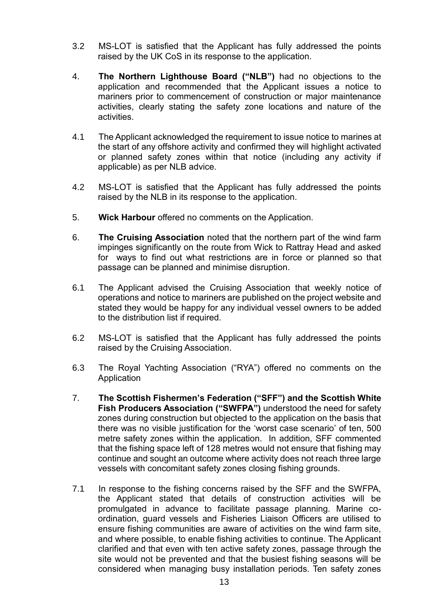- 3.2 MS-LOT is satisfied that the Applicant has fully addressed the points raised by the UK CoS in its response to the application.
- 4. **The Northern Lighthouse Board ("NLB")** had no objections to the application and recommended that the Applicant issues a notice to mariners prior to commencement of construction or major maintenance activities, clearly stating the safety zone locations and nature of the activities.
- 4.1 The Applicant acknowledged the requirement to issue notice to marines at the start of any offshore activity and confirmed they will highlight activated or planned safety zones within that notice (including any activity if applicable) as per NLB advice.
- 4.2 MS-LOT is satisfied that the Applicant has fully addressed the points raised by the NLB in its response to the application.
- 5. **Wick Harbour** offered no comments on the Application.
- 6. **The Cruising Association** noted that the northern part of the wind farm impinges significantly on the route from Wick to Rattray Head and asked for ways to find out what restrictions are in force or planned so that passage can be planned and minimise disruption.
- 6.1 The Applicant advised the Cruising Association that weekly notice of operations and notice to mariners are published on the project website and stated they would be happy for any individual vessel owners to be added to the distribution list if required.
- 6.2 MS-LOT is satisfied that the Applicant has fully addressed the points raised by the Cruising Association.
- 6.3 The Royal Yachting Association ("RYA") offered no comments on the Application
- 7. **The Scottish Fishermen's Federation ("SFF") and the Scottish White Fish Producers Association ("SWFPA")** understood the need for safety zones during construction but objected to the application on the basis that there was no visible justification for the 'worst case scenario' of ten, 500 metre safety zones within the application. In addition, SFF commented that the fishing space left of 128 metres would not ensure that fishing may continue and sought an outcome where activity does not reach three large vessels with concomitant safety zones closing fishing grounds.
- 7.1 In response to the fishing concerns raised by the SFF and the SWFPA, the Applicant stated that details of construction activities will be promulgated in advance to facilitate passage planning. Marine coordination, guard vessels and Fisheries Liaison Officers are utilised to ensure fishing communities are aware of activities on the wind farm site, and where possible, to enable fishing activities to continue. The Applicant clarified and that even with ten active safety zones, passage through the site would not be prevented and that the busiest fishing seasons will be considered when managing busy installation periods. Ten safety zones